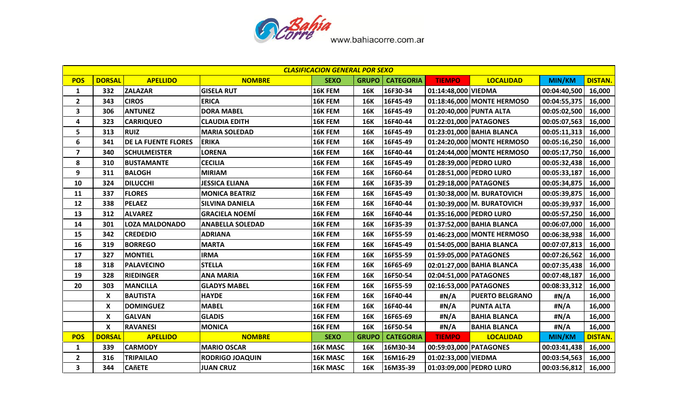

|                | <b>CLASIFICACION GENERAL POR SEXO</b> |                            |                         |                 |              |                  |                         |                            |               |                |  |
|----------------|---------------------------------------|----------------------------|-------------------------|-----------------|--------------|------------------|-------------------------|----------------------------|---------------|----------------|--|
| <b>POS</b>     | <b>DORSAL</b>                         | <b>APELLIDO</b>            | <b>NOMBRE</b>           | <b>SEXO</b>     | <b>GRUPO</b> | <b>CATEGORIA</b> | <b>TIEMPO</b>           | <b>LOCALIDAD</b>           | MIN/KM        | <b>DISTAN.</b> |  |
| $\mathbf{1}$   | 332                                   | <b>ZALAZAR</b>             | <b>GISELA RUT</b>       | 16K FEM         | 16K          | 16F30-34         | 01:14:48,000 VIEDMA     |                            | 00:04:40,500  | 16,000         |  |
| $\overline{2}$ | 343                                   | <b>CIROS</b>               | <b>ERICA</b>            | 16K FEM         | <b>16K</b>   | 16F45-49         |                         | 01:18:46,000 MONTE HERMOSO | 00:04:55,375  | 16,000         |  |
| 3              | 306                                   | <b>ANTUNEZ</b>             | <b>DORA MABEL</b>       | 16K FEM         | <b>16K</b>   | 16F45-49         | 01:20:40,000 PUNTA ALTA |                            | 00:05:02,500  | 16,000         |  |
| 4              | 323                                   | <b>CARRIQUEO</b>           | <b>CLAUDIA EDITH</b>    | 16K FEM         | <b>16K</b>   | 16F40-44         | 01:22:01,000 PATAGONES  |                            | 00:05:07,563  | 16,000         |  |
| 5              | 313                                   | <b>RUIZ</b>                | <b>MARIA SOLEDAD</b>    | 16K FEM         | <b>16K</b>   | 16F45-49         |                         | 01:23:01,000 BAHIA BLANCA  | 00:05:11,313  | 16,000         |  |
| 6              | 341                                   | <b>DE LA FUENTE FLORES</b> | <b>ERIKA</b>            | 16K FEM         | <b>16K</b>   | 16F45-49         |                         | 01:24:20,000 MONTE HERMOSO | 00:05:16,250  | 16,000         |  |
| 7              | 340                                   | <b>SCHULMEISTER</b>        | LORENA                  | 16K FEM         | <b>16K</b>   | 16F40-44         |                         | 01:24:44,000 MONTE HERMOSO | 00:05:17,750  | 16,000         |  |
| 8              | 310                                   | <b>BUSTAMANTE</b>          | <b>CECILIA</b>          | 16K FEM         | <b>16K</b>   | 16F45-49         | 01:28:39,000 PEDRO LURO |                            | 00:05:32,438  | 16,000         |  |
| 9              | 311                                   | <b>BALOGH</b>              | <b>MIRIAM</b>           | 16K FEM         | <b>16K</b>   | 16F60-64         |                         | 01:28:51,000 PEDRO LURO    | 00:05:33,187  | 16,000         |  |
| 10             | 324                                   | <b>DILUCCHI</b>            | <b>JESSICA ELIANA</b>   | 16K FEM         | <b>16K</b>   | 16F35-39         | 01:29:18,000 PATAGONES  |                            | 00:05:34,875  | 16,000         |  |
| 11             | 337                                   | <b>FLORES</b>              | <b>MONICA BEATRIZ</b>   | 16K FEM         | <b>16K</b>   | 16F45-49         |                         | 01:30:38,000 M. BURATOVICH | 00:05:39,875  | 16,000         |  |
| 12             | 338                                   | <b>PELAEZ</b>              | <b>SILVINA DANIELA</b>  | 16K FEM         | <b>16K</b>   | 16F40-44         |                         | 01:30:39,000 M. BURATOVICH | 00:05:39,937  | 16,000         |  |
| 13             | 312                                   | <b>ALVAREZ</b>             | <b>GRACIELA NOEMÍ</b>   | 16K FEM         | <b>16K</b>   | 16F40-44         |                         | 01:35:16,000 PEDRO LURO    | 00:05:57,250  | 16,000         |  |
| 14             | 301                                   | <b>LOZA MALDONADO</b>      | <b>ANABELLA SOLEDAD</b> | 16K FEM         | <b>16K</b>   | 16F35-39         |                         | 01:37:52,000 BAHIA BLANCA  | 00:06:07,000  | 16,000         |  |
| 15             | 342                                   | <b>CREDEDIO</b>            | <b>ADRIANA</b>          | 16K FEM         | <b>16K</b>   | 16F55-59         |                         | 01:46:23,000 MONTE HERMOSO | 00:06:38,938  | 16,000         |  |
| 16             | 319                                   | <b>BORREGO</b>             | <b>MARTA</b>            | 16K FEM         | <b>16K</b>   | 16F45-49         |                         | 01:54:05,000 BAHIA BLANCA  | 00:07:07,813  | 16,000         |  |
| 17             | 327                                   | <b>MONTIEL</b>             | <b>IRMA</b>             | 16K FEM         | <b>16K</b>   | 16F55-59         | 01:59:05,000 PATAGONES  |                            | 00:07:26,562  | 16,000         |  |
| 18             | 318                                   | <b>PALAVECINO</b>          | <b>STELLA</b>           | 16K FEM         | <b>16K</b>   | 16F65-69         |                         | 02:01:27,000 BAHIA BLANCA  | 00:07:35,438  | 16,000         |  |
| 19             | 328                                   | <b>RIEDINGER</b>           | <b>ANA MARIA</b>        | 16K FEM         | <b>16K</b>   | 16F50-54         | 02:04:51,000 PATAGONES  |                            | 00:07:48,187  | 16,000         |  |
| 20             | 303                                   | <b>MANCILLA</b>            | <b>GLADYS MABEL</b>     | 16K FEM         | <b>16K</b>   | 16F55-59         | 02:16:53,000 PATAGONES  |                            | 00:08:33,312  | 16,000         |  |
|                | X                                     | <b>BAUTISTA</b>            | <b>HAYDE</b>            | 16K FEM         | <b>16K</b>   | 16F40-44         | #N/A                    | <b>PUERTO BELGRANO</b>     | #N/A          | 16,000         |  |
|                | X                                     | <b>DOMINGUEZ</b>           | <b>MABEL</b>            | 16K FEM         | <b>16K</b>   | 16F40-44         | #N/A                    | <b>PUNTA ALTA</b>          | #N/A          | 16,000         |  |
|                | X                                     | <b>GALVAN</b>              | <b>GLADIS</b>           | 16K FEM         | <b>16K</b>   | 16F65-69         | #N/A                    | <b>BAHIA BLANCA</b>        | #N/A          | 16,000         |  |
|                | X                                     | <b>RAVANESI</b>            | <b>MONICA</b>           | 16K FEM         | <b>16K</b>   | 16F50-54         | #N/A                    | <b>BAHIA BLANCA</b>        | #N/A          | 16,000         |  |
| <b>POS</b>     | <b>DORSAL</b>                         | <b>APELLIDO</b>            | <b>NOMBRE</b>           | <b>SEXO</b>     | <b>GRUPO</b> | <b>CATEGORIA</b> | <b>TIEMPO</b>           | <b>LOCALIDAD</b>           | <b>MIN/KM</b> | <b>DISTAN.</b> |  |
| $\mathbf{1}$   | 339                                   | <b>CARMODY</b>             | <b>MARIO OSCAR</b>      | <b>16K MASC</b> | <b>16K</b>   | 16M30-34         | 00:59:03,000 PATAGONES  |                            | 00:03:41,438  | 16,000         |  |
| $\overline{2}$ | 316                                   | <b>TRIPAILAO</b>           | <b>RODRIGO JOAQUIN</b>  | 16K MASC        | <b>16K</b>   | 16M16-29         | 01:02:33,000 VIEDMA     |                            | 00:03:54,563  | 16,000         |  |
| 3              | 344                                   | <b>CAñETE</b>              | <b>JUAN CRUZ</b>        | <b>16K MASC</b> | 16K          | 16M35-39         |                         | 01:03:09,000 PEDRO LURO    | 00:03:56,812  | 16,000         |  |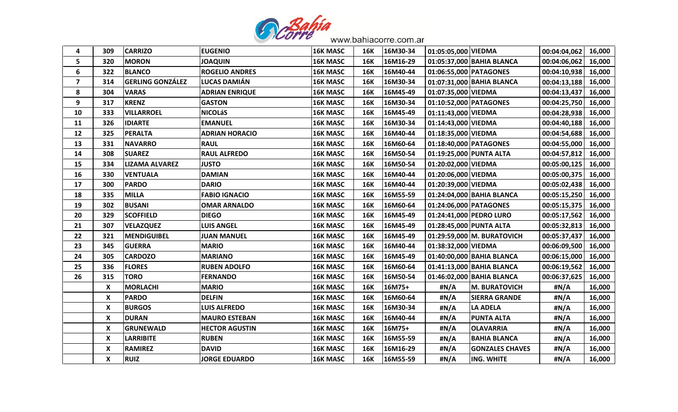

| 4              | 309                | <b>CARRIZO</b>          | <b>EUGENIO</b>        | <b>16K MASC</b> | <b>16K</b> | 16M30-34 | 01:05:05,000 VIEDMA     |                            | 00:04:04,062          | 16,000 |
|----------------|--------------------|-------------------------|-----------------------|-----------------|------------|----------|-------------------------|----------------------------|-----------------------|--------|
| 5              | 320                | <b>MORON</b>            | <b>UIUDAOL</b>        | <b>16K MASC</b> | <b>16K</b> | 16M16-29 |                         | 01:05:37,000 BAHIA BLANCA  | 00:04:06,062          | 16,000 |
| 6              | 322                | <b>BLANCO</b>           | <b>ROGELIO ANDRES</b> | <b>16K MASC</b> | <b>16K</b> | 16M40-44 | 01:06:55,000 PATAGONES  |                            | 00:04:10,938          | 16,000 |
| $\overline{7}$ | 314                | <b>GERLING GONZÁLEZ</b> | LUCAS DAMIÁN          | <b>16K MASC</b> | <b>16K</b> | 16M30-34 |                         | 01:07:31,000 BAHIA BLANCA  | 00:04:13,188          | 16,000 |
| 8              | 304                | <b>VARAS</b>            | <b>ADRIAN ENRIQUE</b> | 16K MASC        | <b>16K</b> | 16M45-49 | 01:07:35,000 VIEDMA     |                            | 00:04:13,437          | 16,000 |
| 9              | 317                | <b>KRENZ</b>            | <b>GASTON</b>         | <b>16K MASC</b> | <b>16K</b> | 16M30-34 | 01:10:52,000 PATAGONES  |                            | 00:04:25,750          | 16,000 |
| 10             | 333                | <b>VILLARROEL</b>       | <b>NICOLáS</b>        | <b>16K MASC</b> | <b>16K</b> | 16M45-49 | 01:11:43,000 VIEDMA     |                            | 00:04:28,938   16,000 |        |
| 11             | 326                | <b>IDIARTE</b>          | <b>EMANUEL</b>        | <b>16K MASC</b> | <b>16K</b> | 16M30-34 | 01:14:43,000 VIEDMA     |                            | 00:04:40,188          | 16,000 |
| 12             | 325                | <b>PERALTA</b>          | <b>ADRIAN HORACIO</b> | 16K MASC        | <b>16K</b> | 16M40-44 | 01:18:35,000 VIEDMA     |                            | 00:04:54,688          | 16,000 |
| 13             | 331                | <b>NAVARRO</b>          | <b>RAUL</b>           | 16K MASC        | <b>16K</b> | 16M60-64 | 01:18:40,000 PATAGONES  |                            | 00:04:55,000          | 16,000 |
| 14             | 308                | <b>SUAREZ</b>           | <b>RAUL ALFREDO</b>   | <b>16K MASC</b> | <b>16K</b> | 16M50-54 | 01:19:25,000 PUNTA ALTA |                            | 00:04:57,812          | 16,000 |
| 15             | 334                | <b>LIZAMA ALVAREZ</b>   | <b>JUSTO</b>          | <b>16K MASC</b> | <b>16K</b> | 16M50-54 | 01:20:02,000 VIEDMA     |                            | 00:05:00,125          | 16,000 |
| 16             | 330                | <b>VENTUALA</b>         | <b>DAMIAN</b>         | <b>16K MASC</b> | <b>16K</b> | 16M40-44 | 01:20:06,000 VIEDMA     |                            | 00:05:00,375          | 16,000 |
| 17             | 300                | <b>PARDO</b>            | <b>DARIO</b>          | 16K MASC        | <b>16K</b> | 16M40-44 | 01:20:39,000 VIEDMA     |                            | 00:05:02,438          | 16,000 |
| 18             | 335                | <b>MILLA</b>            | <b>FABIO IGNACIO</b>  | 16K MASC        | <b>16K</b> | 16M55-59 |                         | 01:24:04,000 BAHIA BLANCA  | 00:05:15,250          | 16,000 |
| 19             | 302                | <b>BUSANI</b>           | <b>OMAR ARNALDO</b>   | <b>16K MASC</b> | <b>16K</b> | 16M60-64 | 01:24:06,000 PATAGONES  |                            | 00:05:15,375          | 16,000 |
| 20             | 329                | <b>SCOFFIELD</b>        | <b>DIEGO</b>          | <b>16K MASC</b> | <b>16K</b> | 16M45-49 |                         | 01:24:41,000 PEDRO LURO    | 00:05:17,562          | 16,000 |
| 21             | 307                | <b>VELAZQUEZ</b>        | LUIS ANGEL            | <b>16K MASC</b> | 16K        | 16M45-49 |                         | 01:28:45,000 PUNTA ALTA    | 00:05:32,813          | 16,000 |
| 22             | 321                | <b>MENDIGUIBEL</b>      | <b>JUAN MANUEL</b>    | 16K MASC        | <b>16K</b> | 16M45-49 |                         | 01:29:59,000 M. BURATOVICH | 00:05:37,437          | 16,000 |
| 23             | 345                | <b>GUERRA</b>           | <b>MARIO</b>          | 16K MASC        | <b>16K</b> | 16M40-44 | 01:38:32,000 VIEDMA     |                            | 00:06:09,500          | 16,000 |
| 24             | 305                | <b>CARDOZO</b>          | <b>MARIANO</b>        | <b>16K MASC</b> | <b>16K</b> | 16M45-49 |                         | 01:40:00,000 BAHIA BLANCA  | 00:06:15,000          | 16,000 |
| 25             | 336                | <b>FLORES</b>           | <b>RUBEN ADOLFO</b>   | <b>16K MASC</b> | <b>16K</b> | 16M60-64 |                         | 01:41:13,000 BAHIA BLANCA  | 00:06:19,562          | 16,000 |
| 26             | 315                | <b>TORO</b>             | <b>FERNANDO</b>       | <b>16K MASC</b> | 16K        | 16M50-54 |                         | 01:46:02,000 BAHIA BLANCA  | 00:06:37,625          | 16,000 |
|                | X                  | <b>MORLACHI</b>         | <b>MARIO</b>          | <b>16K MASC</b> | <b>16K</b> | 16M75+   | #N/A                    | <b>M. BURATOVICH</b>       | #N/A                  | 16,000 |
|                | $\pmb{\times}$     | <b>PARDO</b>            | <b>DELFIN</b>         | 16K MASC        | <b>16K</b> | 16M60-64 | #N/A                    | <b>SIERRA GRANDE</b>       | #N/A                  | 16,000 |
|                | $\pmb{\mathsf{X}}$ | <b>BURGOS</b>           | <b>LUIS ALFREDO</b>   | <b>16K MASC</b> | <b>16K</b> | 16M30-34 | #N/A                    | <b>LA ADELA</b>            | #N/A                  | 16,000 |
|                | X                  | <b>DURAN</b>            | <b>MAURO ESTEBAN</b>  | <b>16K MASC</b> | <b>16K</b> | 16M40-44 | #N/A                    | <b>PUNTA ALTA</b>          | #N/A                  | 16,000 |
|                | X                  | <b>GRUNEWALD</b>        | <b>HECTOR AGUSTIN</b> | <b>16K MASC</b> | <b>16K</b> | 16M75+   | #N/A                    | <b>OLAVARRIA</b>           | #N/A                  | 16,000 |
|                | X                  | <b>LARRIBITE</b>        | <b>RUBEN</b>          | <b>16K MASC</b> | <b>16K</b> | 16M55-59 | #N/A                    | <b>BAHIA BLANCA</b>        | #N/A                  | 16,000 |
|                | $\pmb{\mathsf{X}}$ | <b>RAMIREZ</b>          | <b>DAVID</b>          | 16K MASC        | <b>16K</b> | 16M16-29 | #N/A                    | <b>GONZALES CHAVES</b>     | #N/A                  | 16,000 |
|                | X                  | <b>RUIZ</b>             | <b>JORGE EDUARDO</b>  | <b>16K MASC</b> | <b>16K</b> | 16M55-59 | #N/A                    | ING. WHITE                 | #N/A                  | 16,000 |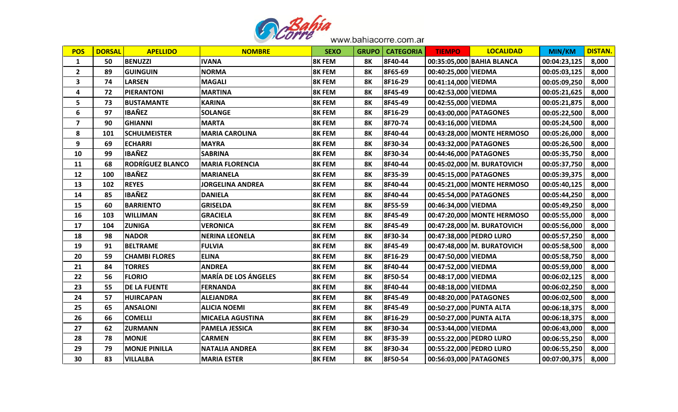

| <b>POS</b>     | <b>DORSAL</b> | <b>APELLIDO</b>         | <b>NOMBRE</b>               | <b>SEXO</b>   | <b>GRUPO</b> | <b>CATEGORIA</b> | <b>TIEMPO</b>           | <b>LOCALIDAD</b>           | <b>MIN/KM</b> | <b>DISTAN.</b> |
|----------------|---------------|-------------------------|-----------------------------|---------------|--------------|------------------|-------------------------|----------------------------|---------------|----------------|
| $\mathbf{1}$   | 50            | <b>BENUZZI</b>          | <b>IVANA</b>                | <b>8K FEM</b> | 8K           | 8F40-44          |                         | 00:35:05,000 BAHIA BLANCA  | 00:04:23,125  | 8,000          |
| $\mathbf{2}$   | 89            | <b>GUINGUIN</b>         | <b>NORMA</b>                | <b>8K FEM</b> | <b>8K</b>    | 8F65-69          | 00:40:25,000 VIEDMA     |                            | 00:05:03,125  | 8,000          |
| $\mathbf{3}$   | 74            | <b>LARSEN</b>           | <b>MAGALI</b>               | <b>8K FEM</b> | <b>8K</b>    | 8F16-29          | 00:41:14,000 VIEDMA     |                            | 00:05:09,250  | 8,000          |
| 4              | 72            | <b>PIERANTONI</b>       | <b>MARTINA</b>              | <b>8K FEM</b> | <b>8K</b>    | 8F45-49          | 00:42:53,000 VIEDMA     |                            | 00:05:21,625  | 8,000          |
| 5              | 73            | <b>BUSTAMANTE</b>       | <b>KARINA</b>               | <b>8K FEM</b> | <b>8K</b>    | 8F45-49          | 00:42:55,000 VIEDMA     |                            | 00:05:21,875  | 8,000          |
| 6              | 97            | <b>IBAÑEZ</b>           | <b>SOLANGE</b>              | <b>8K FEM</b> | <b>8K</b>    | 8F16-29          | 00:43:00,000 PATAGONES  |                            | 00:05:22,500  | 8,000          |
| $\overline{7}$ | 90            | <b>GHIANNI</b>          | <b>MARTA</b>                | <b>8K FEM</b> | <b>8K</b>    | 8F70-74          | 00:43:16,000 VIEDMA     |                            | 00:05:24,500  | 8,000          |
| 8              | 101           | <b>SCHULMEISTER</b>     | <b>MARIA CAROLINA</b>       | <b>8K FEM</b> | <b>8K</b>    | 8F40-44          |                         | 00:43:28,000 MONTE HERMOSO | 00:05:26,000  | 8,000          |
| 9              | 69            | <b>ECHARRI</b>          | <b>MAYRA</b>                | <b>8K FEM</b> | 8K           | 8F30-34          | 00:43:32,000 PATAGONES  |                            | 00:05:26,500  | 8,000          |
| 10             | 99            | <b>IBAÑEZ</b>           | <b>SABRINA</b>              | <b>8K FEM</b> | 8K           | 8F30-34          | 00:44:46,000 PATAGONES  |                            | 00:05:35,750  | 8,000          |
| 11             | 68            | <b>RODRÍGUEZ BLANCO</b> | <b>MARIA FLORENCIA</b>      | <b>8K FEM</b> | <b>8K</b>    | 8F40-44          |                         | 00:45:02,000 M. BURATOVICH | 00:05:37,750  | 8,000          |
| 12             | 100           | <b>IBAÑEZ</b>           | <b>MARIANELA</b>            | <b>8K FEM</b> | 8K           | 8F35-39          | 00:45:15,000 PATAGONES  |                            | 00:05:39,375  | 8,000          |
| 13             | 102           | <b>REYES</b>            | <b>JORGELINA ANDREA</b>     | <b>8K FEM</b> | <b>8K</b>    | 8F40-44          |                         | 00:45:21,000 MONTE HERMOSO | 00:05:40,125  | 8,000          |
| 14             | 85            | <b>IBAÑEZ</b>           | <b>DANIELA</b>              | 8K FEM        | <b>8K</b>    | 8F40-44          | 00:45:54,000 PATAGONES  |                            | 00:05:44,250  | 8,000          |
| 15             | 60            | <b>BARRIENTO</b>        | <b>GRISELDA</b>             | <b>8K FEM</b> | 8K           | 8F55-59          | 00:46:34,000 VIEDMA     |                            | 00:05:49,250  | 8,000          |
| 16             | 103           | <b>WILLIMAN</b>         | <b>GRACIELA</b>             | <b>8K FEM</b> | <b>8K</b>    | 8F45-49          |                         | 00:47:20,000 MONTE HERMOSO | 00:05:55,000  | 8,000          |
| 17             | 104           | <b>ZUNIGA</b>           | <b>VERONICA</b>             | <b>8K FEM</b> | 8K           | 8F45-49          |                         | 00:47:28,000 M. BURATOVICH | 00:05:56,000  | 8,000          |
| 18             | 98            | <b>NADOR</b>            | <b>NERINA LEONELA</b>       | <b>8K FEM</b> | <b>8K</b>    | 8F30-34          |                         | 00:47:38,000 PEDRO LURO    | 00:05:57,250  | 8,000          |
| 19             | 91            | <b>BELTRAME</b>         | <b>FULVIA</b>               | 8K FEM        | <b>8K</b>    | 8F45-49          |                         | 00:47:48,000 M. BURATOVICH | 00:05:58,500  | 8,000          |
| 20             | 59            | <b>CHAMBI FLORES</b>    | <b>ELINA</b>                | <b>8K FEM</b> | <b>8K</b>    | 8F16-29          | 00:47:50,000 VIEDMA     |                            | 00:05:58,750  | 8,000          |
| 21             | 84            | <b>TORRES</b>           | <b>ANDREA</b>               | <b>8K FEM</b> | <b>8K</b>    | 8F40-44          | 00:47:52,000 VIEDMA     |                            | 00:05:59,000  | 8,000          |
| 22             | 56            | <b>FLORIO</b>           | <b>MARÍA DE LOS ÁNGELES</b> | <b>8K FEM</b> | <b>8K</b>    | 8F50-54          | 00:48:17,000 VIEDMA     |                            | 00:06:02,125  | 8,000          |
| 23             | 55            | <b>DE LA FUENTE</b>     | <b>FERNANDA</b>             | <b>8K FEM</b> | <b>8K</b>    | 8F40-44          | 00:48:18,000 VIEDMA     |                            | 00:06:02,250  | 8,000          |
| 24             | 57            | <b>HUIRCAPAN</b>        | <b>ALEJANDRA</b>            | 8K FEM        | <b>8K</b>    | 8F45-49          | 00:48:20,000 PATAGONES  |                            | 00:06:02,500  | 8,000          |
| 25             | 65            | <b>ANSALONI</b>         | <b>ALICIA NOEMI</b>         | <b>8K FEM</b> | <b>8K</b>    | 8F45-49          | 00:50:27,000 PUNTA ALTA |                            | 00:06:18,375  | 8,000          |
| 26             | 66            | <b>COMELLI</b>          | <b>MICAELA AGUSTINA</b>     | <b>8K FEM</b> | <b>8K</b>    | 8F16-29          | 00:50:27,000 PUNTA ALTA |                            | 00:06:18,375  | 8,000          |
| 27             | 62            | <b>ZURMANN</b>          | <b>PAMELA JESSICA</b>       | 8K FEM        | <b>8K</b>    | 8F30-34          | 00:53:44,000 VIEDMA     |                            | 00:06:43,000  | 8,000          |
| 28             | 78            | <b>MONJE</b>            | <b>CARMEN</b>               | <b>8K FEM</b> | 8K           | 8F35-39          |                         | 00:55:22,000 PEDRO LURO    | 00:06:55,250  | 8,000          |
| 29             | 79            | <b>MONJE PINILLA</b>    | <b>NATALIA ANDREA</b>       | <b>8K FEM</b> | <b>8K</b>    | 8F30-34          |                         | 00:55:22,000 PEDRO LURO    | 00:06:55,250  | 8,000          |
| 30             | 83            | <b>VILLALBA</b>         | <b>MARIA ESTER</b>          | <b>8K FEM</b> | <b>8K</b>    | 8F50-54          | 00:56:03,000 PATAGONES  |                            | 00:07:00,375  | 8,000          |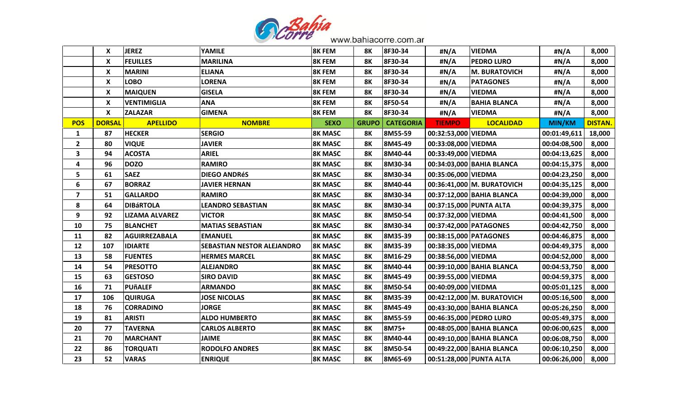

|  |  |  | www.bahiacorre.com.ar |
|--|--|--|-----------------------|
|--|--|--|-----------------------|

| <b>JEREZ</b><br>X<br><b>YAMILE</b><br><b>8K FEM</b><br>8F30-34<br>#N/A<br><b>VIEDMA</b><br>#N/A<br>8K<br>X<br><b>FEUILLES</b><br><b>MARILINA</b><br>8F30-34<br><b>8K FEM</b><br><b>8K</b><br>#N/A<br><b>PEDRO LURO</b><br>#N/A<br>X<br><b>ELIANA</b><br>8F30-34<br><b>MARINI</b><br><b>8K FEM</b><br><b>8K</b><br>#N/A<br><b>M. BURATOVICH</b><br>#N/A<br>X<br><b>LOBO</b><br><b>LORENA</b><br>8K FEM<br><b>8K</b><br>8F30-34<br>#N/A<br><b>PATAGONES</b><br>#N/A<br>X<br><b>MAIQUEN</b><br><b>GISELA</b><br>8K FEM<br>8F30-34<br>#N/A<br><b>VIEDMA</b><br>#N/A<br>8K<br>X<br><b>VENTIMIGLIA</b><br><b>ANA</b><br><b>8K FEM</b><br>8F50-54<br><b>BAHIA BLANCA</b><br><b>8K</b><br>#N/A<br>#N/A<br>X<br><b>ZALAZAR</b><br><b>GIMENA</b><br><b>8K FEM</b><br><b>8K</b><br>8F30-34<br>#N/A<br><b>VIEDMA</b><br>#N/A<br><b>APELLIDO</b><br><b>POS</b><br><b>DORSAL</b><br><b>NOMBRE</b><br><b>SEXO</b><br><b>GRUPO</b><br><b>CATEGORIA</b><br><b>TIEMPO</b><br><b>LOCALIDAD</b><br><b>MIN/KM</b><br><b>HECKER</b><br><b>SERGIO</b><br><b>8K MASC</b><br>8M55-59<br>00:32:53,000 VIEDMA<br>$\mathbf{1}$<br>87<br><b>8K</b><br>00:01:49,611<br>$\overline{2}$<br><b>JAVIER</b><br><b>8K MASC</b><br>8M45-49<br>00:33:08,000 VIEDMA<br>80<br><b>VIQUE</b><br><b>8K</b><br>00:04:08,500<br>$\mathbf{3}$<br><b>ARIEL</b><br>8M40-44<br>94<br><b>ACOSTA</b><br><b>8K MASC</b><br><b>8K</b><br>00:33:49,000 VIEDMA<br>00:04:13,625<br>96<br><b>DOZO</b><br><b>RAMIRO</b><br>8M30-34<br>4<br><b>8K MASC</b><br>8K<br>00:34:03,000 BAHIA BLANCA<br>00:04:15,375<br>5<br><b>SAEZ</b><br>61<br><b>DIEGO ANDRéS</b><br><b>8K MASC</b><br>8K<br>8M30-34<br>00:35:06,000 VIEDMA<br>00:04:23,250<br>6<br><b>BORRAZ</b><br>67<br><b>JAVIER HERNAN</b><br><b>8K MASC</b><br><b>8K</b><br>8M40-44<br>00:36:41,000 M. BURATOVICH<br>00:04:35,125<br>$\overline{7}$<br>51<br><b>GALLARDO</b><br><b>RAMIRO</b><br><b>8K MASC</b><br>8M30-34<br>00:37:12,000 BAHIA BLANCA<br>8K<br>00:04:39,000<br>8<br>8M30-34<br>64<br><b>DIBÁRTOLA</b><br><b>LEANDRO SEBASTIAN</b><br><b>8K MASC</b><br>00:37:15,000 PUNTA ALTA<br>00:04:39,375<br>8K<br>9<br>92<br><b>8K MASC</b><br><b>8K</b><br>8M50-54<br>LIZAMA ALVAREZ<br><b>VICTOR</b><br>00:37:32,000 VIEDMA<br>00:04:41,500<br>10<br>75<br><b>BLANCHET</b><br>8M30-34<br><b>MATIAS SEBASTIAN</b><br><b>8K MASC</b><br>8K<br>00:37:42,000 PATAGONES<br>00:04:42,750<br>8M35-39<br>11<br>82<br><b>AGUIRREZABALA</b><br><b>EMANUEL</b><br><b>8K MASC</b><br><b>8K</b><br>00:38:15,000 PATAGONES<br>00:04:46,875<br>8M35-39<br>12<br>107<br><b>IDIARTE</b><br><b>SEBASTIAN NESTOR ALEJANDRO</b><br><b>8K MASC</b><br>8K<br>00:38:35,000 VIEDMA<br>00:04:49,375<br><b>FUENTES</b><br><b>8K MASC</b><br>8M16-29<br>00:38:56,000 VIEDMA<br>13<br>58<br><b>HERMES MARCEL</b><br>8K<br>00:04:52,000<br>14<br>54<br>8M40-44<br><b>PRESOTTO</b><br><b>ALEJANDRO</b><br><b>8K MASC</b><br>8K<br>00:39:10,000 BAHIA BLANCA<br>00:04:53,750<br>15<br>63<br><b>GESTOSO</b><br><b>SIRO DAVID</b><br><b>8K MASC</b><br>8K<br>8M45-49<br>00:39:55,000 VIEDMA<br>00:04:59,375<br>16<br>71<br><b>PUñALEF</b><br><b>ARMANDO</b><br><b>8K</b><br>8M50-54<br>00:40:09,000 VIEDMA<br>00:05:01,125<br><b>8K MASC</b><br>17<br>106<br><b>QUIRUGA</b><br><b>JOSE NICOLAS</b><br><b>8K MASC</b><br>8M35-39<br>00:42:12,000 M. BURATOVICH<br>8K<br>00:05:16,500<br><b>CORRADINO</b><br><b>8K MASC</b><br>8M45-49<br>18<br>76<br><b>JORGE</b><br>00:43:30,000 BAHIA BLANCA<br>00:05:26,250<br>8K<br><b>ALDO HUMBERTO</b><br>19<br>81<br><b>ARISTI</b><br><b>8K MASC</b><br><b>8K</b><br>8M55-59<br>00:46:35,000 PEDRO LURO<br>00:05:49,375<br>20<br>77<br><b>TAVERNA</b><br><b>8K</b><br>8M75+<br><b>CARLOS ALBERTO</b><br><b>8K MASC</b><br>00:48:05,000 BAHIA BLANCA<br>00:06:00,625<br>21<br>70<br><b>MARCHANT</b><br><b>JAIME</b><br><b>8K MASC</b><br>8K<br>8M40-44<br>00:06:08,750<br>00:49:10,000 BAHIA BLANCA<br>22<br>86<br><b>TORQUATI</b><br><b>RODOLFO ANDRES</b><br><b>8K MASC</b><br>8M50-54<br>00:49:22,000 BAHIA BLANCA<br>8Κ<br>00:06:10,250<br>00:51:28,000 PUNTA ALTA |    |    |              |                |                |           |         |  |              |                |
|------------------------------------------------------------------------------------------------------------------------------------------------------------------------------------------------------------------------------------------------------------------------------------------------------------------------------------------------------------------------------------------------------------------------------------------------------------------------------------------------------------------------------------------------------------------------------------------------------------------------------------------------------------------------------------------------------------------------------------------------------------------------------------------------------------------------------------------------------------------------------------------------------------------------------------------------------------------------------------------------------------------------------------------------------------------------------------------------------------------------------------------------------------------------------------------------------------------------------------------------------------------------------------------------------------------------------------------------------------------------------------------------------------------------------------------------------------------------------------------------------------------------------------------------------------------------------------------------------------------------------------------------------------------------------------------------------------------------------------------------------------------------------------------------------------------------------------------------------------------------------------------------------------------------------------------------------------------------------------------------------------------------------------------------------------------------------------------------------------------------------------------------------------------------------------------------------------------------------------------------------------------------------------------------------------------------------------------------------------------------------------------------------------------------------------------------------------------------------------------------------------------------------------------------------------------------------------------------------------------------------------------------------------------------------------------------------------------------------------------------------------------------------------------------------------------------------------------------------------------------------------------------------------------------------------------------------------------------------------------------------------------------------------------------------------------------------------------------------------------------------------------------------------------------------------------------------------------------------------------------------------------------------------------------------------------------------------------------------------------------------------------------------------------------------------------------------------------------------------------------------------------------------------------------------------------------------------------------------------------------------------------------------------------------------------------------------------------------------------------------------------------------------------------------------------------------------------------------------------------------------------------------------------------------------------------------------------------------------------------------------------------------------------------------------------------------------|----|----|--------------|----------------|----------------|-----------|---------|--|--------------|----------------|
|                                                                                                                                                                                                                                                                                                                                                                                                                                                                                                                                                                                                                                                                                                                                                                                                                                                                                                                                                                                                                                                                                                                                                                                                                                                                                                                                                                                                                                                                                                                                                                                                                                                                                                                                                                                                                                                                                                                                                                                                                                                                                                                                                                                                                                                                                                                                                                                                                                                                                                                                                                                                                                                                                                                                                                                                                                                                                                                                                                                                                                                                                                                                                                                                                                                                                                                                                                                                                                                                                                                                                                                                                                                                                                                                                                                                                                                                                                                                                                                                                                                                              |    |    |              |                |                |           |         |  |              | 8,000          |
|                                                                                                                                                                                                                                                                                                                                                                                                                                                                                                                                                                                                                                                                                                                                                                                                                                                                                                                                                                                                                                                                                                                                                                                                                                                                                                                                                                                                                                                                                                                                                                                                                                                                                                                                                                                                                                                                                                                                                                                                                                                                                                                                                                                                                                                                                                                                                                                                                                                                                                                                                                                                                                                                                                                                                                                                                                                                                                                                                                                                                                                                                                                                                                                                                                                                                                                                                                                                                                                                                                                                                                                                                                                                                                                                                                                                                                                                                                                                                                                                                                                                              |    |    |              |                |                |           |         |  |              | 8,000          |
|                                                                                                                                                                                                                                                                                                                                                                                                                                                                                                                                                                                                                                                                                                                                                                                                                                                                                                                                                                                                                                                                                                                                                                                                                                                                                                                                                                                                                                                                                                                                                                                                                                                                                                                                                                                                                                                                                                                                                                                                                                                                                                                                                                                                                                                                                                                                                                                                                                                                                                                                                                                                                                                                                                                                                                                                                                                                                                                                                                                                                                                                                                                                                                                                                                                                                                                                                                                                                                                                                                                                                                                                                                                                                                                                                                                                                                                                                                                                                                                                                                                                              |    |    |              |                |                |           |         |  |              | 8,000          |
|                                                                                                                                                                                                                                                                                                                                                                                                                                                                                                                                                                                                                                                                                                                                                                                                                                                                                                                                                                                                                                                                                                                                                                                                                                                                                                                                                                                                                                                                                                                                                                                                                                                                                                                                                                                                                                                                                                                                                                                                                                                                                                                                                                                                                                                                                                                                                                                                                                                                                                                                                                                                                                                                                                                                                                                                                                                                                                                                                                                                                                                                                                                                                                                                                                                                                                                                                                                                                                                                                                                                                                                                                                                                                                                                                                                                                                                                                                                                                                                                                                                                              |    |    |              |                |                |           |         |  |              | 8,000          |
|                                                                                                                                                                                                                                                                                                                                                                                                                                                                                                                                                                                                                                                                                                                                                                                                                                                                                                                                                                                                                                                                                                                                                                                                                                                                                                                                                                                                                                                                                                                                                                                                                                                                                                                                                                                                                                                                                                                                                                                                                                                                                                                                                                                                                                                                                                                                                                                                                                                                                                                                                                                                                                                                                                                                                                                                                                                                                                                                                                                                                                                                                                                                                                                                                                                                                                                                                                                                                                                                                                                                                                                                                                                                                                                                                                                                                                                                                                                                                                                                                                                                              |    |    |              |                |                |           |         |  |              | 8,000          |
|                                                                                                                                                                                                                                                                                                                                                                                                                                                                                                                                                                                                                                                                                                                                                                                                                                                                                                                                                                                                                                                                                                                                                                                                                                                                                                                                                                                                                                                                                                                                                                                                                                                                                                                                                                                                                                                                                                                                                                                                                                                                                                                                                                                                                                                                                                                                                                                                                                                                                                                                                                                                                                                                                                                                                                                                                                                                                                                                                                                                                                                                                                                                                                                                                                                                                                                                                                                                                                                                                                                                                                                                                                                                                                                                                                                                                                                                                                                                                                                                                                                                              |    |    |              |                |                |           |         |  |              | 8,000          |
|                                                                                                                                                                                                                                                                                                                                                                                                                                                                                                                                                                                                                                                                                                                                                                                                                                                                                                                                                                                                                                                                                                                                                                                                                                                                                                                                                                                                                                                                                                                                                                                                                                                                                                                                                                                                                                                                                                                                                                                                                                                                                                                                                                                                                                                                                                                                                                                                                                                                                                                                                                                                                                                                                                                                                                                                                                                                                                                                                                                                                                                                                                                                                                                                                                                                                                                                                                                                                                                                                                                                                                                                                                                                                                                                                                                                                                                                                                                                                                                                                                                                              |    |    |              |                |                |           |         |  |              | 8,000          |
|                                                                                                                                                                                                                                                                                                                                                                                                                                                                                                                                                                                                                                                                                                                                                                                                                                                                                                                                                                                                                                                                                                                                                                                                                                                                                                                                                                                                                                                                                                                                                                                                                                                                                                                                                                                                                                                                                                                                                                                                                                                                                                                                                                                                                                                                                                                                                                                                                                                                                                                                                                                                                                                                                                                                                                                                                                                                                                                                                                                                                                                                                                                                                                                                                                                                                                                                                                                                                                                                                                                                                                                                                                                                                                                                                                                                                                                                                                                                                                                                                                                                              |    |    |              |                |                |           |         |  |              | <b>DISTAN.</b> |
|                                                                                                                                                                                                                                                                                                                                                                                                                                                                                                                                                                                                                                                                                                                                                                                                                                                                                                                                                                                                                                                                                                                                                                                                                                                                                                                                                                                                                                                                                                                                                                                                                                                                                                                                                                                                                                                                                                                                                                                                                                                                                                                                                                                                                                                                                                                                                                                                                                                                                                                                                                                                                                                                                                                                                                                                                                                                                                                                                                                                                                                                                                                                                                                                                                                                                                                                                                                                                                                                                                                                                                                                                                                                                                                                                                                                                                                                                                                                                                                                                                                                              |    |    |              |                |                |           |         |  |              | 18,000         |
|                                                                                                                                                                                                                                                                                                                                                                                                                                                                                                                                                                                                                                                                                                                                                                                                                                                                                                                                                                                                                                                                                                                                                                                                                                                                                                                                                                                                                                                                                                                                                                                                                                                                                                                                                                                                                                                                                                                                                                                                                                                                                                                                                                                                                                                                                                                                                                                                                                                                                                                                                                                                                                                                                                                                                                                                                                                                                                                                                                                                                                                                                                                                                                                                                                                                                                                                                                                                                                                                                                                                                                                                                                                                                                                                                                                                                                                                                                                                                                                                                                                                              |    |    |              |                |                |           |         |  |              | 8,000          |
|                                                                                                                                                                                                                                                                                                                                                                                                                                                                                                                                                                                                                                                                                                                                                                                                                                                                                                                                                                                                                                                                                                                                                                                                                                                                                                                                                                                                                                                                                                                                                                                                                                                                                                                                                                                                                                                                                                                                                                                                                                                                                                                                                                                                                                                                                                                                                                                                                                                                                                                                                                                                                                                                                                                                                                                                                                                                                                                                                                                                                                                                                                                                                                                                                                                                                                                                                                                                                                                                                                                                                                                                                                                                                                                                                                                                                                                                                                                                                                                                                                                                              |    |    |              |                |                |           |         |  |              | 8,000          |
|                                                                                                                                                                                                                                                                                                                                                                                                                                                                                                                                                                                                                                                                                                                                                                                                                                                                                                                                                                                                                                                                                                                                                                                                                                                                                                                                                                                                                                                                                                                                                                                                                                                                                                                                                                                                                                                                                                                                                                                                                                                                                                                                                                                                                                                                                                                                                                                                                                                                                                                                                                                                                                                                                                                                                                                                                                                                                                                                                                                                                                                                                                                                                                                                                                                                                                                                                                                                                                                                                                                                                                                                                                                                                                                                                                                                                                                                                                                                                                                                                                                                              |    |    |              |                |                |           |         |  |              | 8,000          |
|                                                                                                                                                                                                                                                                                                                                                                                                                                                                                                                                                                                                                                                                                                                                                                                                                                                                                                                                                                                                                                                                                                                                                                                                                                                                                                                                                                                                                                                                                                                                                                                                                                                                                                                                                                                                                                                                                                                                                                                                                                                                                                                                                                                                                                                                                                                                                                                                                                                                                                                                                                                                                                                                                                                                                                                                                                                                                                                                                                                                                                                                                                                                                                                                                                                                                                                                                                                                                                                                                                                                                                                                                                                                                                                                                                                                                                                                                                                                                                                                                                                                              |    |    |              |                |                |           |         |  |              | 8,000          |
|                                                                                                                                                                                                                                                                                                                                                                                                                                                                                                                                                                                                                                                                                                                                                                                                                                                                                                                                                                                                                                                                                                                                                                                                                                                                                                                                                                                                                                                                                                                                                                                                                                                                                                                                                                                                                                                                                                                                                                                                                                                                                                                                                                                                                                                                                                                                                                                                                                                                                                                                                                                                                                                                                                                                                                                                                                                                                                                                                                                                                                                                                                                                                                                                                                                                                                                                                                                                                                                                                                                                                                                                                                                                                                                                                                                                                                                                                                                                                                                                                                                                              |    |    |              |                |                |           |         |  |              | 8,000          |
|                                                                                                                                                                                                                                                                                                                                                                                                                                                                                                                                                                                                                                                                                                                                                                                                                                                                                                                                                                                                                                                                                                                                                                                                                                                                                                                                                                                                                                                                                                                                                                                                                                                                                                                                                                                                                                                                                                                                                                                                                                                                                                                                                                                                                                                                                                                                                                                                                                                                                                                                                                                                                                                                                                                                                                                                                                                                                                                                                                                                                                                                                                                                                                                                                                                                                                                                                                                                                                                                                                                                                                                                                                                                                                                                                                                                                                                                                                                                                                                                                                                                              |    |    |              |                |                |           |         |  |              | 8,000          |
|                                                                                                                                                                                                                                                                                                                                                                                                                                                                                                                                                                                                                                                                                                                                                                                                                                                                                                                                                                                                                                                                                                                                                                                                                                                                                                                                                                                                                                                                                                                                                                                                                                                                                                                                                                                                                                                                                                                                                                                                                                                                                                                                                                                                                                                                                                                                                                                                                                                                                                                                                                                                                                                                                                                                                                                                                                                                                                                                                                                                                                                                                                                                                                                                                                                                                                                                                                                                                                                                                                                                                                                                                                                                                                                                                                                                                                                                                                                                                                                                                                                                              |    |    |              |                |                |           |         |  |              | 8,000          |
|                                                                                                                                                                                                                                                                                                                                                                                                                                                                                                                                                                                                                                                                                                                                                                                                                                                                                                                                                                                                                                                                                                                                                                                                                                                                                                                                                                                                                                                                                                                                                                                                                                                                                                                                                                                                                                                                                                                                                                                                                                                                                                                                                                                                                                                                                                                                                                                                                                                                                                                                                                                                                                                                                                                                                                                                                                                                                                                                                                                                                                                                                                                                                                                                                                                                                                                                                                                                                                                                                                                                                                                                                                                                                                                                                                                                                                                                                                                                                                                                                                                                              |    |    |              |                |                |           |         |  |              | 8,000          |
|                                                                                                                                                                                                                                                                                                                                                                                                                                                                                                                                                                                                                                                                                                                                                                                                                                                                                                                                                                                                                                                                                                                                                                                                                                                                                                                                                                                                                                                                                                                                                                                                                                                                                                                                                                                                                                                                                                                                                                                                                                                                                                                                                                                                                                                                                                                                                                                                                                                                                                                                                                                                                                                                                                                                                                                                                                                                                                                                                                                                                                                                                                                                                                                                                                                                                                                                                                                                                                                                                                                                                                                                                                                                                                                                                                                                                                                                                                                                                                                                                                                                              |    |    |              |                |                |           |         |  |              | 8,000          |
|                                                                                                                                                                                                                                                                                                                                                                                                                                                                                                                                                                                                                                                                                                                                                                                                                                                                                                                                                                                                                                                                                                                                                                                                                                                                                                                                                                                                                                                                                                                                                                                                                                                                                                                                                                                                                                                                                                                                                                                                                                                                                                                                                                                                                                                                                                                                                                                                                                                                                                                                                                                                                                                                                                                                                                                                                                                                                                                                                                                                                                                                                                                                                                                                                                                                                                                                                                                                                                                                                                                                                                                                                                                                                                                                                                                                                                                                                                                                                                                                                                                                              |    |    |              |                |                |           |         |  |              | 8,000          |
|                                                                                                                                                                                                                                                                                                                                                                                                                                                                                                                                                                                                                                                                                                                                                                                                                                                                                                                                                                                                                                                                                                                                                                                                                                                                                                                                                                                                                                                                                                                                                                                                                                                                                                                                                                                                                                                                                                                                                                                                                                                                                                                                                                                                                                                                                                                                                                                                                                                                                                                                                                                                                                                                                                                                                                                                                                                                                                                                                                                                                                                                                                                                                                                                                                                                                                                                                                                                                                                                                                                                                                                                                                                                                                                                                                                                                                                                                                                                                                                                                                                                              |    |    |              |                |                |           |         |  |              | 8,000          |
|                                                                                                                                                                                                                                                                                                                                                                                                                                                                                                                                                                                                                                                                                                                                                                                                                                                                                                                                                                                                                                                                                                                                                                                                                                                                                                                                                                                                                                                                                                                                                                                                                                                                                                                                                                                                                                                                                                                                                                                                                                                                                                                                                                                                                                                                                                                                                                                                                                                                                                                                                                                                                                                                                                                                                                                                                                                                                                                                                                                                                                                                                                                                                                                                                                                                                                                                                                                                                                                                                                                                                                                                                                                                                                                                                                                                                                                                                                                                                                                                                                                                              |    |    |              |                |                |           |         |  |              | 8,000          |
|                                                                                                                                                                                                                                                                                                                                                                                                                                                                                                                                                                                                                                                                                                                                                                                                                                                                                                                                                                                                                                                                                                                                                                                                                                                                                                                                                                                                                                                                                                                                                                                                                                                                                                                                                                                                                                                                                                                                                                                                                                                                                                                                                                                                                                                                                                                                                                                                                                                                                                                                                                                                                                                                                                                                                                                                                                                                                                                                                                                                                                                                                                                                                                                                                                                                                                                                                                                                                                                                                                                                                                                                                                                                                                                                                                                                                                                                                                                                                                                                                                                                              |    |    |              |                |                |           |         |  |              | 8,000          |
|                                                                                                                                                                                                                                                                                                                                                                                                                                                                                                                                                                                                                                                                                                                                                                                                                                                                                                                                                                                                                                                                                                                                                                                                                                                                                                                                                                                                                                                                                                                                                                                                                                                                                                                                                                                                                                                                                                                                                                                                                                                                                                                                                                                                                                                                                                                                                                                                                                                                                                                                                                                                                                                                                                                                                                                                                                                                                                                                                                                                                                                                                                                                                                                                                                                                                                                                                                                                                                                                                                                                                                                                                                                                                                                                                                                                                                                                                                                                                                                                                                                                              |    |    |              |                |                |           |         |  |              | 8,000          |
|                                                                                                                                                                                                                                                                                                                                                                                                                                                                                                                                                                                                                                                                                                                                                                                                                                                                                                                                                                                                                                                                                                                                                                                                                                                                                                                                                                                                                                                                                                                                                                                                                                                                                                                                                                                                                                                                                                                                                                                                                                                                                                                                                                                                                                                                                                                                                                                                                                                                                                                                                                                                                                                                                                                                                                                                                                                                                                                                                                                                                                                                                                                                                                                                                                                                                                                                                                                                                                                                                                                                                                                                                                                                                                                                                                                                                                                                                                                                                                                                                                                                              |    |    |              |                |                |           |         |  |              | 8,000          |
|                                                                                                                                                                                                                                                                                                                                                                                                                                                                                                                                                                                                                                                                                                                                                                                                                                                                                                                                                                                                                                                                                                                                                                                                                                                                                                                                                                                                                                                                                                                                                                                                                                                                                                                                                                                                                                                                                                                                                                                                                                                                                                                                                                                                                                                                                                                                                                                                                                                                                                                                                                                                                                                                                                                                                                                                                                                                                                                                                                                                                                                                                                                                                                                                                                                                                                                                                                                                                                                                                                                                                                                                                                                                                                                                                                                                                                                                                                                                                                                                                                                                              |    |    |              |                |                |           |         |  |              | 8,000          |
|                                                                                                                                                                                                                                                                                                                                                                                                                                                                                                                                                                                                                                                                                                                                                                                                                                                                                                                                                                                                                                                                                                                                                                                                                                                                                                                                                                                                                                                                                                                                                                                                                                                                                                                                                                                                                                                                                                                                                                                                                                                                                                                                                                                                                                                                                                                                                                                                                                                                                                                                                                                                                                                                                                                                                                                                                                                                                                                                                                                                                                                                                                                                                                                                                                                                                                                                                                                                                                                                                                                                                                                                                                                                                                                                                                                                                                                                                                                                                                                                                                                                              |    |    |              |                |                |           |         |  |              | 8,000          |
|                                                                                                                                                                                                                                                                                                                                                                                                                                                                                                                                                                                                                                                                                                                                                                                                                                                                                                                                                                                                                                                                                                                                                                                                                                                                                                                                                                                                                                                                                                                                                                                                                                                                                                                                                                                                                                                                                                                                                                                                                                                                                                                                                                                                                                                                                                                                                                                                                                                                                                                                                                                                                                                                                                                                                                                                                                                                                                                                                                                                                                                                                                                                                                                                                                                                                                                                                                                                                                                                                                                                                                                                                                                                                                                                                                                                                                                                                                                                                                                                                                                                              |    |    |              |                |                |           |         |  |              | 8,000          |
|                                                                                                                                                                                                                                                                                                                                                                                                                                                                                                                                                                                                                                                                                                                                                                                                                                                                                                                                                                                                                                                                                                                                                                                                                                                                                                                                                                                                                                                                                                                                                                                                                                                                                                                                                                                                                                                                                                                                                                                                                                                                                                                                                                                                                                                                                                                                                                                                                                                                                                                                                                                                                                                                                                                                                                                                                                                                                                                                                                                                                                                                                                                                                                                                                                                                                                                                                                                                                                                                                                                                                                                                                                                                                                                                                                                                                                                                                                                                                                                                                                                                              |    |    |              |                |                |           |         |  |              | 8,000          |
|                                                                                                                                                                                                                                                                                                                                                                                                                                                                                                                                                                                                                                                                                                                                                                                                                                                                                                                                                                                                                                                                                                                                                                                                                                                                                                                                                                                                                                                                                                                                                                                                                                                                                                                                                                                                                                                                                                                                                                                                                                                                                                                                                                                                                                                                                                                                                                                                                                                                                                                                                                                                                                                                                                                                                                                                                                                                                                                                                                                                                                                                                                                                                                                                                                                                                                                                                                                                                                                                                                                                                                                                                                                                                                                                                                                                                                                                                                                                                                                                                                                                              |    |    |              |                |                |           |         |  |              | 8,000          |
|                                                                                                                                                                                                                                                                                                                                                                                                                                                                                                                                                                                                                                                                                                                                                                                                                                                                                                                                                                                                                                                                                                                                                                                                                                                                                                                                                                                                                                                                                                                                                                                                                                                                                                                                                                                                                                                                                                                                                                                                                                                                                                                                                                                                                                                                                                                                                                                                                                                                                                                                                                                                                                                                                                                                                                                                                                                                                                                                                                                                                                                                                                                                                                                                                                                                                                                                                                                                                                                                                                                                                                                                                                                                                                                                                                                                                                                                                                                                                                                                                                                                              |    |    |              |                |                |           |         |  |              | 8,000          |
|                                                                                                                                                                                                                                                                                                                                                                                                                                                                                                                                                                                                                                                                                                                                                                                                                                                                                                                                                                                                                                                                                                                                                                                                                                                                                                                                                                                                                                                                                                                                                                                                                                                                                                                                                                                                                                                                                                                                                                                                                                                                                                                                                                                                                                                                                                                                                                                                                                                                                                                                                                                                                                                                                                                                                                                                                                                                                                                                                                                                                                                                                                                                                                                                                                                                                                                                                                                                                                                                                                                                                                                                                                                                                                                                                                                                                                                                                                                                                                                                                                                                              | 23 | 52 | <b>VARAS</b> | <b>ENRIQUE</b> | <b>8K MASC</b> | <b>8K</b> | 8M65-69 |  | 00:06:26,000 | 8,000          |